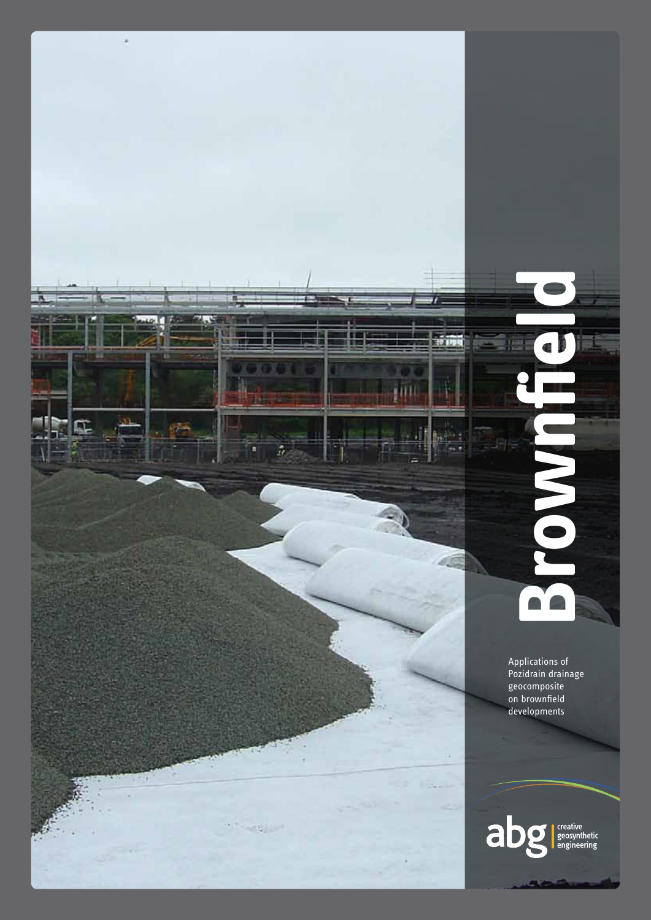

**Brownfield**  $\bullet$ 

> Applications of Pozidrain drainage geocomposite on brownfield developments

> > creative<br>geosynthetic<br>engineering